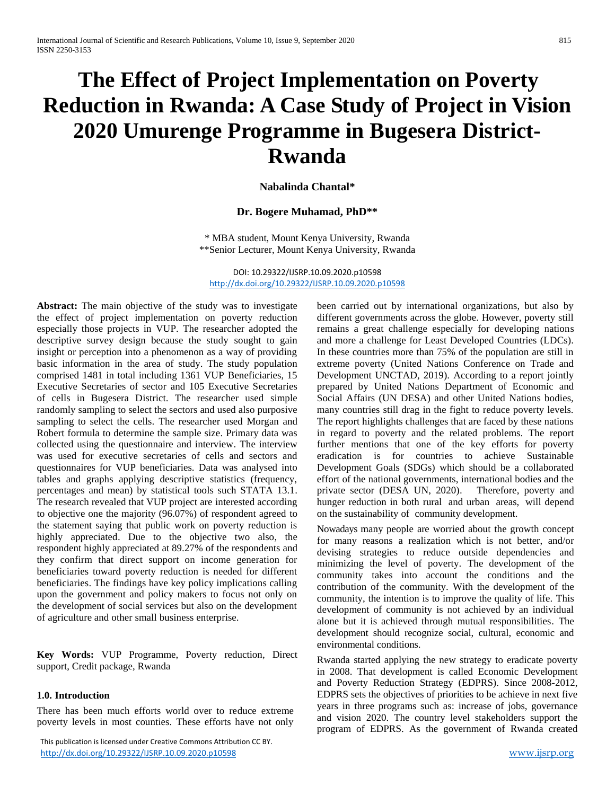# **The Effect of Project Implementation on Poverty Reduction in Rwanda: A Case Study of Project in Vision 2020 Umurenge Programme in Bugesera District-Rwanda**

**Nabalinda Chantal\***

### **Dr. Bogere Muhamad, PhD\*\***

\* MBA student, Mount Kenya University, Rwanda \*\*Senior Lecturer, Mount Kenya University, Rwanda

DOI: 10.29322/IJSRP.10.09.2020.p10598 <http://dx.doi.org/10.29322/IJSRP.10.09.2020.p10598>

**Abstract:** The main objective of the study was to investigate the effect of project implementation on poverty reduction especially those projects in VUP. The researcher adopted the descriptive survey design because the study sought to gain insight or perception into a phenomenon as a way of providing basic information in the area of study. The study population comprised 1481 in total including 1361 VUP Beneficiaries, 15 Executive Secretaries of sector and 105 Executive Secretaries of cells in Bugesera District. The researcher used simple randomly sampling to select the sectors and used also purposive sampling to select the cells. The researcher used Morgan and Robert formula to determine the sample size. Primary data was collected using the questionnaire and interview. The interview was used for executive secretaries of cells and sectors and questionnaires for VUP beneficiaries. Data was analysed into tables and graphs applying descriptive statistics (frequency, percentages and mean) by statistical tools such STATA 13.1. The research revealed that VUP project are interested according to objective one the majority (96.07%) of respondent agreed to the statement saying that public work on poverty reduction is highly appreciated. Due to the objective two also, the respondent highly appreciated at 89.27% of the respondents and they confirm that direct support on income generation for beneficiaries toward poverty reduction is needed for different beneficiaries. The findings have key policy implications calling upon the government and policy makers to focus not only on the development of social services but also on the development of agriculture and other small business enterprise.

**Key Words:** VUP Programme, Poverty reduction, Direct support, Credit package, Rwanda

### **1.0. Introduction**

There has been much efforts world over to reduce extreme poverty levels in most counties. These efforts have not only

 This publication is licensed under Creative Commons Attribution CC BY. <http://dx.doi.org/10.29322/IJSRP.10.09.2020.p10598> [www.ijsrp.org](http://ijsrp.org/)

been carried out by international organizations, but also by different governments across the globe. However, poverty still remains a great challenge especially for developing nations and more a challenge for Least Developed Countries (LDCs). In these countries more than 75% of the population are still in extreme poverty (United Nations Conference on Trade and Development UNCTAD, 2019). According to a report jointly prepared by United Nations Department of Economic and Social Affairs (UN DESA) and other United Nations bodies, many countries still drag in the fight to reduce poverty levels. The report highlights challenges that are faced by these nations in regard to poverty and the related problems. The report further mentions that one of the key efforts for poverty eradication is for countries to achieve Sustainable Development Goals (SDGs) which should be a collaborated effort of the national governments, international bodies and the private sector (DESA UN, 2020). Therefore, poverty and hunger reduction in both rural and urban areas, will depend on the sustainability of community development.

Nowadays many people are worried about the growth concept for many reasons a realization which is not better, and/or devising strategies to reduce outside dependencies and minimizing the level of poverty. The development of the community takes into account the conditions and the contribution of the community. With the development of the community, the intention is to improve the quality of life. This development of community is not achieved by an individual alone but it is achieved through mutual responsibilities. The development should recognize social, cultural, economic and environmental conditions.

Rwanda started applying the new strategy to eradicate poverty in 2008. That development is called Economic Development and Poverty Reduction Strategy (EDPRS). Since 2008-2012, EDPRS sets the objectives of priorities to be achieve in next five years in three programs such as: increase of jobs, governance and vision 2020. The country level stakeholders support the program of EDPRS. As the government of Rwanda created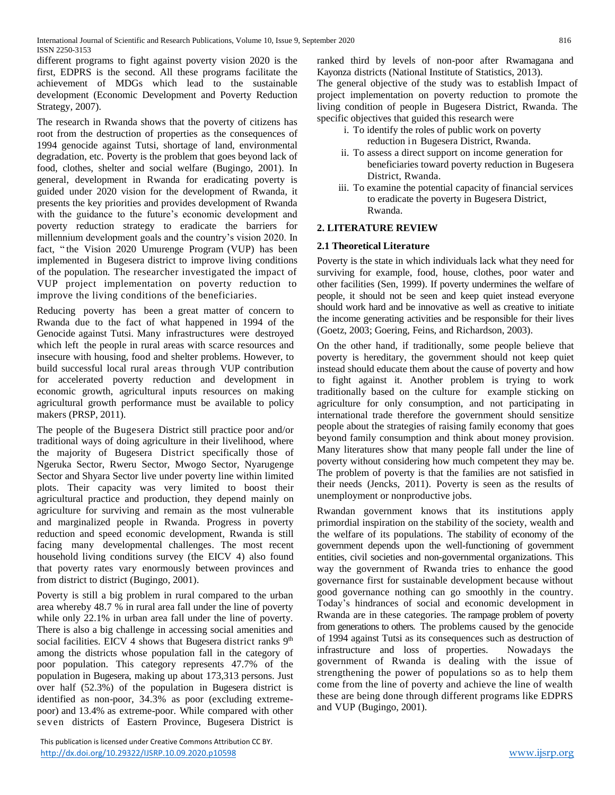International Journal of Scientific and Research Publications, Volume 10, Issue 9, September 2020 816 ISSN 2250-3153

different programs to fight against poverty vision 2020 is the first, EDPRS is the second. All these programs facilitate the achievement of MDGs which lead to the sustainable development (Economic Development and Poverty Reduction Strategy, 2007).

The research in Rwanda shows that the poverty of citizens has root from the destruction of properties as the consequences of 1994 genocide against Tutsi, shortage of land, environmental degradation, etc. Poverty is the problem that goes beyond lack of food, clothes, shelter and social welfare (Bugingo, 2001). In general, development in Rwanda for eradicating poverty is guided under 2020 vision for the development of Rwanda, it presents the key priorities and provides development of Rwanda with the guidance to the future's economic development and poverty reduction strategy to eradicate the barriers for millennium development goals and the country's vision 2020. In fact, " the Vision 2020 Umurenge Program (VUP) has been implemented in Bugesera district to improve living conditions of the population. The researcher investigated the impact of VUP project implementation on poverty reduction to improve the living conditions of the beneficiaries.

Reducing poverty has been a great matter of concern to Rwanda due to the fact of what happened in 1994 of the Genocide against Tutsi. Many infrastructures were destroyed which left the people in rural areas with scarce resources and insecure with housing, food and shelter problems. However, to build successful local rural areas through VUP contribution for accelerated poverty reduction and development in economic growth, agricultural inputs resources on making agricultural growth performance must be available to policy makers (PRSP, 2011).

The people of the Bugesera District still practice poor and/or traditional ways of doing agriculture in their livelihood, where the majority of Bugesera District specifically those of Ngeruka Sector, Rweru Sector, Mwogo Sector, Nyarugenge Sector and Shyara Sector live under poverty line within limited plots. Their capacity was very limited to boost their agricultural practice and production, they depend mainly on agriculture for surviving and remain as the most vulnerable and marginalized people in Rwanda. Progress in poverty reduction and speed economic development, Rwanda is still facing many developmental challenges. The most recent household living conditions survey (the EICV 4) also found that poverty rates vary enormously between provinces and from district to district (Bugingo, 2001).

Poverty is still a big problem in rural compared to the urban area whereby 48.7 % in rural area fall under the line of poverty while only 22.1% in urban area fall under the line of poverty. There is also a big challenge in accessing social amenities and social facilities. EICV 4 shows that Bugesera district ranks  $9<sup>th</sup>$ among the districts whose population fall in the category of poor population. This category represents 47.7% of the population in Bugesera, making up about 173,313 persons. Just over half (52.3%) of the population in Bugesera district is identified as non-poor, 34.3% as poor (excluding extremepoor) and 13.4% as extreme-poor. While compared with other seven districts of Eastern Province, Bugesera District is

 This publication is licensed under Creative Commons Attribution CC BY. <http://dx.doi.org/10.29322/IJSRP.10.09.2020.p10598> [www.ijsrp.org](http://ijsrp.org/)

ranked third by levels of non-poor after Rwamagana and Kayonza districts (National Institute of Statistics, 2013).

The general objective of the study was to establish Impact of project implementation on poverty reduction to promote the living condition of people in Bugesera District, Rwanda. The specific objectives that guided this research were

- i. To identify the roles of public work on poverty reduction in Bugesera District, Rwanda.
- ii. To assess a direct support on income generation for beneficiaries toward poverty reduction in Bugesera District, Rwanda.
- iii. To examine the potential capacity of financial services to eradicate the poverty in Bugesera District, Rwanda.

### **2. LITERATURE REVIEW**

### **2.1 Theoretical Literature**

Poverty is the state in which individuals lack what they need for surviving for example, food, house, clothes, poor water and other facilities (Sen, 1999). If poverty undermines the welfare of people, it should not be seen and keep quiet instead everyone should work hard and be innovative as well as creative to initiate the income generating activities and be responsible for their lives (Goetz, 2003; Goering, Feins, and Richardson, 2003).

On the other hand, if traditionally, some people believe that poverty is hereditary, the government should not keep quiet instead should educate them about the cause of poverty and how to fight against it. Another problem is trying to work traditionally based on the culture for example sticking on agriculture for only consumption, and not participating in international trade therefore the government should sensitize people about the strategies of raising family economy that goes beyond family consumption and think about money provision. Many literatures show that many people fall under the line of poverty without considering how much competent they may be. The problem of poverty is that the families are not satisfied in their needs (Jencks, 2011). Poverty is seen as the results of unemployment or nonproductive jobs.

Rwandan government knows that its institutions apply primordial inspiration on the stability of the society, wealth and the welfare of its populations. The stability of economy of the government depends upon the well-functioning of government entities, civil societies and non-governmental organizations. This way the government of Rwanda tries to enhance the good governance first for sustainable development because without good governance nothing can go smoothly in the country. Today's hindrances of social and economic development in Rwanda are in these categories. The rampage problem of poverty from generations to others. The problems caused by the genocide of 1994 against Tutsi as its consequences such as destruction of infrastructure and loss of properties. Nowadays the government of Rwanda is dealing with the issue of strengthening the power of populations so as to help them come from the line of poverty and achieve the line of wealth these are being done through different programs like EDPRS and VUP (Bugingo, 2001).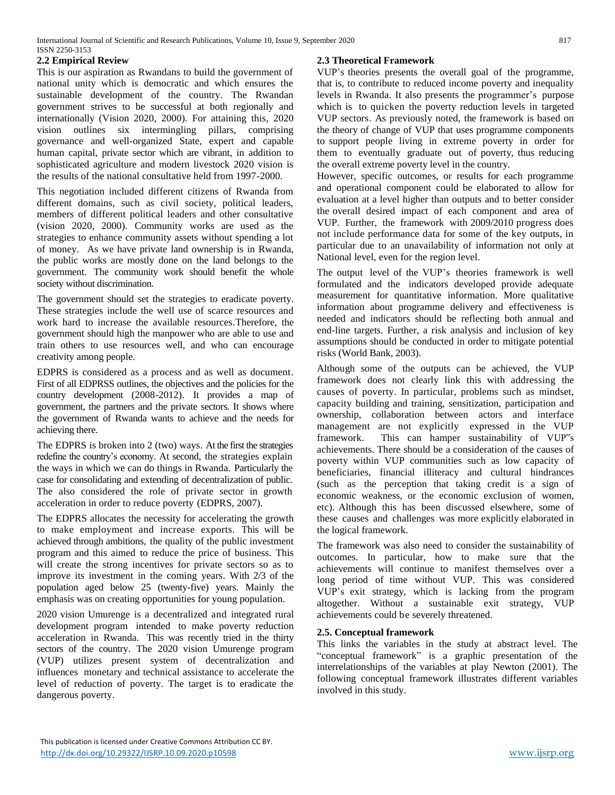### **2.2 Empirical Review**

This is our aspiration as Rwandans to build the government of national unity which is democratic and which ensures the sustainable development of the country. The Rwandan government strives to be successful at both regionally and internationally (Vision 2020, 2000). For attaining this, 2020 vision outlines six intermingling pillars, comprising governance and well-organized State, expert and capable human capital, private sector which are vibrant, in addition to sophisticated agriculture and modern livestock 2020 vision is the results of the national consultative held from 1997-2000.

This negotiation included different citizens of Rwanda from different domains, such as civil society, political leaders, members of different political leaders and other consultative (vision 2020, 2000). Community works are used as the strategies to enhance community assets without spending a lot of money. As we have private land ownership is in Rwanda, the public works are mostly done on the land belongs to the government. The community work should benefit the whole society without discrimination.

The government should set the strategies to eradicate poverty. These strategies include the well use of scarce resources and work hard to increase the available resources.Therefore, the government should high the manpower who are able to use and train others to use resources well, and who can encourage creativity among people.

EDPRS is considered as a process and as well as document. First of all EDPRSS outlines, the objectives and the policies for the country development (2008-2012). It provides a map of government, the partners and the private sectors. It shows where the government of Rwanda wants to achieve and the needs for achieving there.

The EDPRS is broken into 2 (two) ways. At the first the strategies redefine the country's economy. At second, the strategies explain the ways in which we can do things in Rwanda. Particularly the case for consolidating and extending of decentralization of public. The also considered the role of private sector in growth acceleration in order to reduce poverty (EDPRS, 2007).

The EDPRS allocates the necessity for accelerating the growth to make employment and increase exports. This will be achieved through ambitions, the quality of the public investment program and this aimed to reduce the price of business. This will create the strong incentives for private sectors so as to improve its investment in the coming years. With 2/3 of the population aged below 25 (twenty-five) years. Mainly the emphasis was on creating opportunities for young population.

2020 vision Umurenge is a decentralized and integrated rural development program intended to make poverty reduction acceleration in Rwanda. This was recently tried in the thirty sectors of the country. The 2020 vision Umurenge program (VUP) utilizes present system of decentralization and influences monetary and technical assistance to accelerate the level of reduction of poverty. The target is to eradicate the dangerous poverty.

### **2.3 Theoretical Framework**

VUP's theories presents the overall goal of the programme, that is, to contribute to reduced income poverty and inequality levels in Rwanda. It also presents the programmer's purpose which is to quicken the poverty reduction levels in targeted VUP sectors. As previously noted, the framework is based on the theory of change of VUP that uses programme components to support people living in extreme poverty in order for them to eventually graduate out of poverty, thus reducing the overall extreme poverty level in the country.

However, specific outcomes, or results for each programme and operational component could be elaborated to allow for evaluation at a level higher than outputs and to better consider the overall desired impact of each component and area of VUP. Further, the framework with 2009/2010 progress does not include performance data for some of the key outputs, in particular due to an unavailability of information not only at National level, even for the region level.

The output level of the VUP's theories framework is well formulated and the indicators developed provide adequate measurement for quantitative information. More qualitative information about programme delivery and effectiveness is needed and indicators should be reflecting both annual and end-line targets. Further, a risk analysis and inclusion of key assumptions should be conducted in order to mitigate potential risks (World Bank, 2003).

Although some of the outputs can be achieved, the VUP framework does not clearly link this with addressing the causes of poverty. In particular, problems such as mindset, capacity building and training, sensitization, participation and ownership, collaboration between actors and interface management are not explicitly expressed in the VUP framework. This can hamper sustainability of VUP"s achievements. There should be a consideration of the causes of poverty within VUP communities such as low capacity of beneficiaries, financial illiteracy and cultural hindrances (such as the perception that taking credit is a sign of economic weakness, or the economic exclusion of women, etc). Although this has been discussed elsewhere, some of these causes and challenges was more explicitly elaborated in the logical framework.

The framework was also need to consider the sustainability of outcomes. In particular, how to make sure that the achievements will continue to manifest themselves over a long period of time without VUP. This was considered VUP's exit strategy, which is lacking from the program altogether. Without a sustainable exit strategy, VUP achievements could be severely threatened.

### **2.5. Conceptual framework**

This links the variables in the study at abstract level. The "conceptual framework" is a graphic presentation of the interrelationships of the variables at play Newton (2001). The following conceptual framework illustrates different variables involved in this study.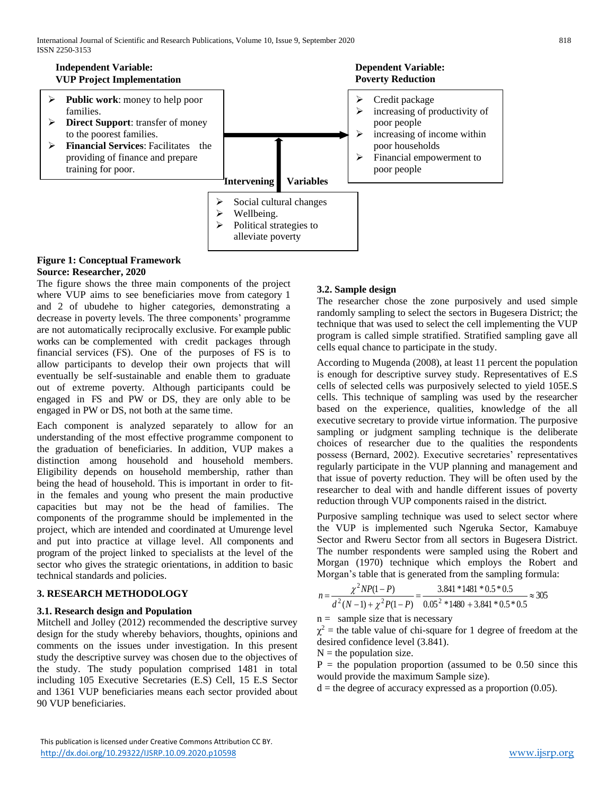

### **Figure 1: Conceptual Framework Source: Researcher, 2020**

The figure shows the three main components of the project where VUP aims to see beneficiaries move from category 1 and 2 of ubudehe to higher categories, demonstrating a decrease in poverty levels. The three components' programme are not automatically reciprocally exclusive. For example public works can be complemented with credit packages through financial services (FS). One of the purposes of FS is to allow participants to develop their own projects that will eventually be self-sustainable and enable them to graduate out of extreme poverty. Although participants could be engaged in FS and PW or DS, they are only able to be engaged in PW or DS, not both at the same time.

Each component is analyzed separately to allow for an understanding of the most effective programme component to the graduation of beneficiaries. In addition, VUP makes a distinction among household and household members. Eligibility depends on household membership, rather than being the head of household. This is important in order to fitin the females and young who present the main productive capacities but may not be the head of families. The components of the programme should be implemented in the project, which are intended and coordinated at Umurenge level and put into practice at village level. All components and program of the project linked to specialists at the level of the sector who gives the strategic orientations, in addition to basic technical standards and policies.

### **3. RESEARCH METHODOLOGY**

### **3.1. Research design and Population**

Mitchell and Jolley (2012) recommended the descriptive survey design for the study whereby behaviors, thoughts, opinions and comments on the issues under investigation. In this present study the descriptive survey was chosen due to the objectives of the study. The study population comprised 1481 in total including 105 Executive Secretaries (E.S) Cell, 15 E.S Sector and 1361 VUP beneficiaries means each sector provided about 90 VUP beneficiaries.

### **3.2. Sample design**

The researcher chose the zone purposively and used simple randomly sampling to select the sectors in Bugesera District; the technique that was used to select the cell implementing the VUP program is called simple stratified. Stratified sampling gave all cells equal chance to participate in the study.

According to Mugenda (2008), at least 11 percent the population is enough for descriptive survey study. Representatives of E.S cells of selected cells was purposively selected to yield 105E.S cells. This technique of sampling was used by the researcher based on the experience, qualities, knowledge of the all executive secretary to provide virtue information. The purposive sampling or judgment sampling technique is the deliberate choices of researcher due to the qualities the respondents possess (Bernard, 2002). Executive secretaries' representatives regularly participate in the VUP planning and management and that issue of poverty reduction. They will be often used by the researcher to deal with and handle different issues of poverty reduction through VUP components raised in the district.

Purposive sampling technique was used to select sector where the VUP is implemented such Ngeruka Sector, Kamabuye Sector and Rweru Sector from all sectors in Bugesera District. The number respondents were sampled using the Robert and Morgan (1970) technique which employs the Robert and Morgan's table that is generated from the sampling formula:

$$
n = \frac{\chi^2 NP(1 - P)}{d^2 (N - 1) + \chi^2 P(1 - P)} = \frac{3.841 * 1481 * 0.5 * 0.5}{0.05^2 * 1480 + 3.841 * 0.5 * 0.5} \approx 305
$$

 $n =$  sample size that is necessary

 $\chi^2$  = the table value of chi-square for 1 degree of freedom at the desired confidence level (3.841).

 $N =$  the population size.

 $P =$  the population proportion (assumed to be 0.50 since this would provide the maximum Sample size).

 $d =$  the degree of accuracy expressed as a proportion (0.05).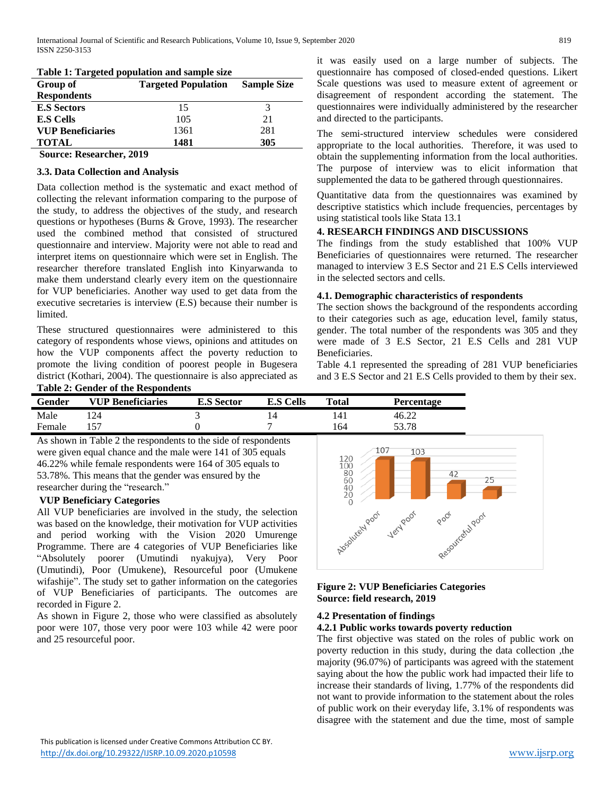| Table 1. Talgettu population and sample size |                    |  |  |  |  |  |
|----------------------------------------------|--------------------|--|--|--|--|--|
| <b>Targeted Population</b>                   | <b>Sample Size</b> |  |  |  |  |  |
|                                              |                    |  |  |  |  |  |
| 15                                           |                    |  |  |  |  |  |
| 105                                          | 21                 |  |  |  |  |  |
| 1361                                         | 281                |  |  |  |  |  |
| 1481                                         | 305                |  |  |  |  |  |
|                                              |                    |  |  |  |  |  |

|  |  | Table 1: Targeted population and sample size |  |
|--|--|----------------------------------------------|--|
|--|--|----------------------------------------------|--|

**Source: Researcher, 2019**

### **3.3. Data Collection and Analysis**

Data collection method is the systematic and exact method of collecting the relevant information comparing to the purpose of the study, to address the objectives of the study, and research questions or hypotheses (Burns & Grove, 1993). The researcher used the combined method that consisted of structured questionnaire and interview. Majority were not able to read and interpret items on questionnaire which were set in English. The researcher therefore translated English into Kinyarwanda to make them understand clearly every item on the questionnaire for VUP beneficiaries. Another way used to get data from the executive secretaries is interview (E.S) because their number is limited.

These structured questionnaires were administered to this category of respondents whose views, opinions and attitudes on how the VUP components affect the poverty reduction to promote the living condition of poorest people in Bugesera district (Kothari, 2004). The questionnaire is also appreciated as **Table 2: Gender of the Respondents** 

**Gender VUP Beneficiaries E.S Sector E.S Cells Total Percentage**  Male 124 3 14 141 46.22 Female 157 0 7 164 53.78

As shown in Table 2 the respondents to the side of respondents were given equal chance and the male were 141 of 305 equals 46.22% while female respondents were 164 of 305 equals to 53.78%. This means that the gender was ensured by the researcher during the "research."

### **VUP Beneficiary Categories**

All VUP beneficiaries are involved in the study, the selection was based on the knowledge, their motivation for VUP activities and period working with the Vision 2020 Umurenge Programme. There are 4 categories of VUP Beneficiaries like "Absolutely poorer (Umutindi nyakujya), Very Poor (Umutindi), Poor (Umukene), Resourceful poor (Umukene wifashije". The study set to gather information on the categories of VUP Beneficiaries of participants. The outcomes are recorded in Figure 2.

As shown in Figure 2, those who were classified as absolutely poor were 107, those very poor were 103 while 42 were poor and 25 resourceful poor.



appropriate to the local authorities. Therefore, it was used to obtain the supplementing information from the local authorities. The purpose of interview was to elicit information that supplemented the data to be gathered through questionnaires.

it was easily used on a large number of subjects. The questionnaire has composed of closed-ended questions. Likert Scale questions was used to measure extent of agreement or

Quantitative data from the questionnaires was examined by descriptive statistics which include frequencies, percentages by using statistical tools like Stata 13.1

### **4. RESEARCH FINDINGS AND DISCUSSIONS**

The findings from the study established that 100% VUP Beneficiaries of questionnaires were returned. The researcher managed to interview 3 E.S Sector and 21 E.S Cells interviewed in the selected sectors and cells.

### **4.1. Demographic characteristics of respondents**

The section shows the background of the respondents according to their categories such as age, education level, family status, gender. The total number of the respondents was 305 and they were made of 3 E.S Sector, 21 E.S Cells and 281 VUP Beneficiaries.

Table 4.1 represented the spreading of 281 VUP beneficiaries and 3 E.S Sector and 21 E.S Cells provided to them by their sex.



### **Figure 2: VUP Beneficiaries Categories Source: field research, 2019**

### **4.2 Presentation of findings**

### **4.2.1 Public works towards poverty reduction**

The first objective was stated on the roles of public work on poverty reduction in this study, during the data collection ,the majority (96.07%) of participants was agreed with the statement saying about the how the public work had impacted their life to increase their standards of living, 1.77% of the respondents did not want to provide information to the statement about the roles of public work on their everyday life, 3.1% of respondents was disagree with the statement and due the time, most of sample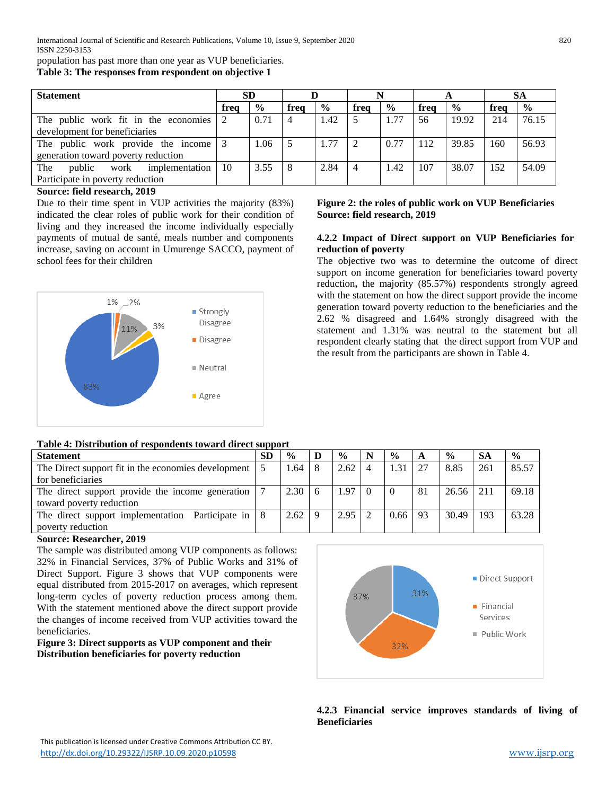population has past more than one year as VUP beneficiaries. **Table 3: The responses from respondent on objective 1**

| <b>Statement</b>                        |      | <b>SD</b>     |                |               |                |               |      |               |      | SА            |  |
|-----------------------------------------|------|---------------|----------------|---------------|----------------|---------------|------|---------------|------|---------------|--|
|                                         | frea | $\frac{6}{9}$ | frea           | $\frac{6}{9}$ | frea           | $\frac{0}{0}$ | frea | $\frac{6}{9}$ | frea | $\frac{6}{6}$ |  |
| The public work fit in the economies    |      | 0.71          | $\overline{4}$ | 1.42          | 5              | 1.77          | 56   | 19.92         | 214  | 76.15         |  |
| development for beneficiaries           |      |               |                |               |                |               |      |               |      |               |  |
| The public work provide the income      |      | l.06          |                | 1.77          | $\mathfrak{D}$ | 0.77          | 112  | 39.85         | 160  | 56.93         |  |
| generation toward poverty reduction     |      |               |                |               |                |               |      |               |      |               |  |
| public<br>The<br>work<br>implementation | -10  | 3.55          |                | 2.84          | 4              | 1.42          | 107  | 38.07         | 152  | 54.09         |  |
| Participate in poverty reduction        |      |               |                |               |                |               |      |               |      |               |  |

### **Source: field research, 2019**

Due to their time spent in VUP activities the majority (83%) indicated the clear roles of public work for their condition of living and they increased the income individually especially payments of mutual de santé, meals number and components increase, saving on account in Umurenge SACCO, payment of school fees for their children



### **Table 4: Distribution of respondents toward direct support**

#### **Statement SD % D % N % A % SA %** The Direct support fit in the economies development for beneficiaries 5 | 1.64 | 8 | 2.62 | 4 | 1.31 | 27 | 8.85 | 261 | 85.57 The direct support provide the income generation toward poverty reduction 7 2.30 6 1.97 0 0 81 26.56 211 69.18 The direct support implementation Participate in poverty reduction 8 2.62 9 2.95 2 0.66 93 30.49 193 63.28

### **Source: Researcher, 2019**

The sample was distributed among VUP components as follows: 32% in Financial Services, 37% of Public Works and 31% of Direct Support. Figure 3 shows that VUP components were equal distributed from 2015-2017 on averages, which represent long-term cycles of poverty reduction process among them. With the statement mentioned above the direct support provide the changes of income received from VUP activities toward the beneficiaries.

**Figure 3: Direct supports as VUP component and their Distribution beneficiaries for poverty reduction**



### **4.2.3 Financial service improves standards of living of Beneficiaries**

### **Figure 2: the roles of public work on VUP Beneficiaries Source: field research, 2019**

### **4.2.2 Impact of Direct support on VUP Beneficiaries for reduction of poverty**

The objective two was to determine the outcome of direct support on income generation for beneficiaries toward poverty reduction**,** the majority (85.57%) respondents strongly agreed with the statement on how the direct support provide the income generation toward poverty reduction to the beneficiaries and the 2.62 % disagreed and 1.64% strongly disagreed with the statement and 1.31% was neutral to the statement but all respondent clearly stating that the direct support from VUP and the result from the participants are shown in Table 4.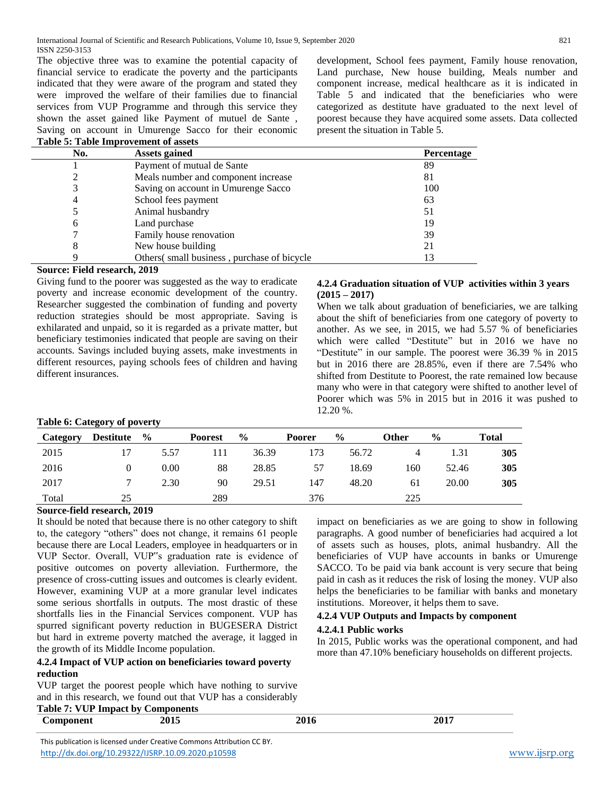The objective three was to examine the potential capacity of financial service to eradicate the poverty and the participants indicated that they were aware of the program and stated they were improved the welfare of their families due to financial services from VUP Programme and through this service they shown the asset gained like Payment of mutuel de Sante , Saving on account in Umurenge Sacco for their economic **Table 5: Table Improvement of assets**

development, School fees payment, Family house renovation, Land purchase, New house building, Meals number and component increase, medical healthcare as it is indicated in Table 5 and indicated that the beneficiaries who were categorized as destitute have graduated to the next level of poorest because they have acquired some assets. Data collected present the situation in Table 5.

| No.            | <b>Assets gained</b>                        | Percentage |
|----------------|---------------------------------------------|------------|
|                | Payment of mutual de Sante                  | 89         |
|                | Meals number and component increase         | 81         |
| 3              | Saving on account in Umurenge Sacco         | 100        |
| $\overline{4}$ | School fees payment                         | 63         |
|                | Animal husbandry                            | 51         |
| 6              | Land purchase                               | 19         |
|                | Family house renovation                     | 39         |
| 8              | New house building                          | 21         |
|                | Others (small business, purchase of bicycle | 13         |

### **Source: Field research, 2019**

Giving fund to the poorer was suggested as the way to eradicate poverty and increase economic development of the country. Researcher suggested the combination of funding and poverty reduction strategies should be most appropriate. Saving is exhilarated and unpaid, so it is regarded as a private matter, but beneficiary testimonies indicated that people are saving on their accounts. Savings included buying assets, make investments in different resources, paying schools fees of children and having different insurances.

### **4.2.4 Graduation situation of VUP activities within 3 years (2015 – 2017)**

When we talk about graduation of beneficiaries, we are talking about the shift of beneficiaries from one category of poverty to another. As we see, in 2015, we had 5.57 % of beneficiaries which were called "Destitute" but in 2016 we have no "Destitute" in our sample. The poorest were 36.39 % in 2015 but in 2016 there are 28.85%, even if there are 7.54% who shifted from Destitute to Poorest, the rate remained low because many who were in that category were shifted to another level of Poorer which was 5% in 2015 but in 2016 it was pushed to 12.20 %.

### **Table 6: Category of poverty**

| Category | <b>Destitute</b> | $\frac{6}{9}$ | <b>Poorest</b> | $\frac{0}{0}$ | <b>Poorer</b> | $\frac{6}{9}$ | Other | $\frac{6}{9}$ | <b>Total</b> |
|----------|------------------|---------------|----------------|---------------|---------------|---------------|-------|---------------|--------------|
| 2015     |                  | 5.57          | 111            | 36.39         | 173           | 56.72         | 4     | 1.31          | 305          |
| 2016     | 0                | 0.00          | 88             | 28.85         | 57            | 18.69         | 160   | 52.46         | 305          |
| 2017     |                  | 2.30          | 90             | 29.51         | 147           | 48.20         | 61    | 20.00         | 305          |
| Total    | 25               |               | 289            |               | 376           |               | 225   |               |              |

### **Source-field research, 2019**

It should be noted that because there is no other category to shift to, the category "others" does not change, it remains 61 people because there are Local Leaders, employee in headquarters or in VUP Sector. Overall, VUP"s graduation rate is evidence of positive outcomes on poverty alleviation. Furthermore, the presence of cross-cutting issues and outcomes is clearly evident. However, examining VUP at a more granular level indicates some serious shortfalls in outputs. The most drastic of these shortfalls lies in the Financial Services component. VUP has spurred significant poverty reduction in BUGESERA District but hard in extreme poverty matched the average, it lagged in the growth of its Middle Income population.

### **4.2.4 Impact of VUP action on beneficiaries toward poverty reduction**

VUP target the poorest people which have nothing to survive and in this research, we found out that VUP has a considerably

# **Table 7: VUP Impact by Components**

impact on beneficiaries as we are going to show in following paragraphs. A good number of beneficiaries had acquired a lot of assets such as houses, plots, animal husbandry. All the beneficiaries of VUP have accounts in banks or Umurenge SACCO. To be paid via bank account is very secure that being paid in cash as it reduces the risk of losing the money. VUP also helps the beneficiaries to be familiar with banks and monetary institutions. Moreover, it helps them to save.

### **4.2.4 VUP Outputs and Impacts by component**

### **4.2.4.1 Public works**

In 2015, Public works was the operational component, and had more than 47.10% beneficiary households on different projects.

| Component | 2016 |  |
|-----------|------|--|
|           |      |  |

 This publication is licensed under Creative Commons Attribution CC BY. <http://dx.doi.org/10.29322/IJSRP.10.09.2020.p10598> [www.ijsrp.org](http://ijsrp.org/)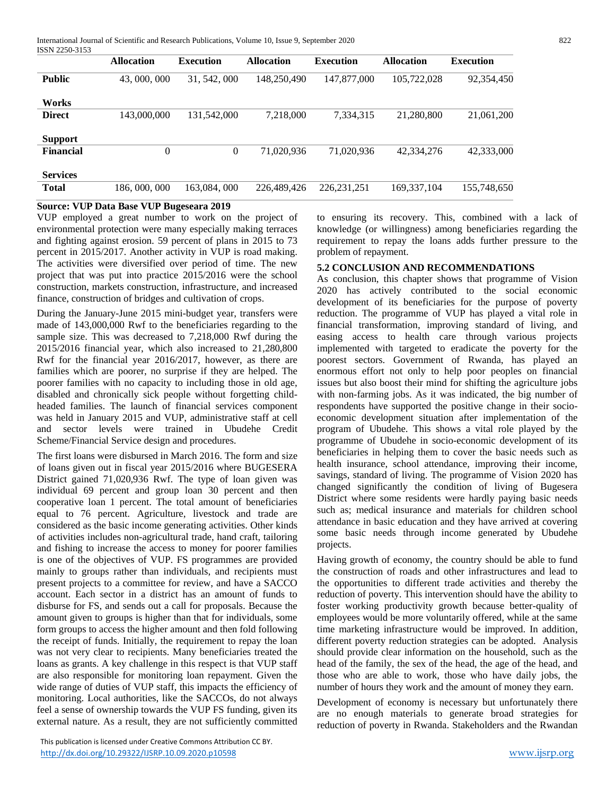International Journal of Scientific and Research Publications, Volume 10, Issue 9, September 2020 822 ISSN 2250-3153

| 19911 2290-9199 | <b>Allocation</b> | <b>Execution</b> | <b>Allocation</b> | <b>Execution</b> | <b>Allocation</b> | <b>Execution</b> |
|-----------------|-------------------|------------------|-------------------|------------------|-------------------|------------------|
| <b>Public</b>   | 43,000,000        | 31, 542, 000     | 148,250,490       | 147,877,000      | 105,722,028       | 92,354,450       |
| Works           |                   |                  |                   |                  |                   |                  |
| <b>Direct</b>   | 143,000,000       | 131,542,000      | 7,218,000         | 7,334,315        | 21,280,800        | 21,061,200       |
| <b>Support</b>  |                   |                  |                   |                  |                   |                  |
| Financial       | $\theta$          | $\theta$         | 71,020,936        | 71,020,936       | 42.334.276        | 42,333,000       |
| <b>Services</b> |                   |                  |                   |                  |                   |                  |
| <b>Total</b>    | 186, 000, 000     | 163,084,000      | 226,489,426       | 226.231.251      | 169,337,104       | 155,748,650      |

## **Source: VUP Data Base VUP Bugeseara 2019**

VUP employed a great number to work on the project of environmental protection were many especially making terraces and fighting against erosion. 59 percent of plans in 2015 to 73 percent in 2015/2017. Another activity in VUP is road making. The activities were diversified over period of time. The new project that was put into practice 2015/2016 were the school construction, markets construction, infrastructure, and increased finance, construction of bridges and cultivation of crops.

During the January-June 2015 mini-budget year, transfers were made of 143,000,000 Rwf to the beneficiaries regarding to the sample size. This was decreased to 7,218,000 Rwf during the 2015/2016 financial year, which also increased to 21,280,800 Rwf for the financial year 2016/2017, however, as there are families which are poorer, no surprise if they are helped. The poorer families with no capacity to including those in old age, disabled and chronically sick people without forgetting childheaded families. The launch of financial services component was held in January 2015 and VUP, administrative staff at cell and sector levels were trained in Ubudehe Credit Scheme/Financial Service design and procedures.

The first loans were disbursed in March 2016. The form and size of loans given out in fiscal year 2015/2016 where BUGESERA District gained 71,020,936 Rwf. The type of loan given was individual 69 percent and group loan 30 percent and then cooperative loan 1 percent. The total amount of beneficiaries equal to 76 percent. Agriculture, livestock and trade are considered as the basic income generating activities. Other kinds of activities includes non-agricultural trade, hand craft, tailoring and fishing to increase the access to money for poorer families is one of the objectives of VUP. FS programmes are provided mainly to groups rather than individuals, and recipients must present projects to a committee for review, and have a SACCO account. Each sector in a district has an amount of funds to disburse for FS, and sends out a call for proposals. Because the amount given to groups is higher than that for individuals, some form groups to access the higher amount and then fold following the receipt of funds. Initially, the requirement to repay the loan was not very clear to recipients. Many beneficiaries treated the loans as grants. A key challenge in this respect is that VUP staff are also responsible for monitoring loan repayment. Given the wide range of duties of VUP staff, this impacts the efficiency of monitoring. Local authorities, like the SACCOs, do not always feel a sense of ownership towards the VUP FS funding, given its external nature. As a result, they are not sufficiently committed

 This publication is licensed under Creative Commons Attribution CC BY. <http://dx.doi.org/10.29322/IJSRP.10.09.2020.p10598> [www.ijsrp.org](http://ijsrp.org/)

to ensuring its recovery. This, combined with a lack of knowledge (or willingness) among beneficiaries regarding the requirement to repay the loans adds further pressure to the problem of repayment.

### **5.2 CONCLUSION AND RECOMMENDATIONS**

As conclusion, this chapter shows that programme of Vision 2020 has actively contributed to the social economic development of its beneficiaries for the purpose of poverty reduction. The programme of VUP has played a vital role in financial transformation, improving standard of living, and easing access to health care through various projects implemented with targeted to eradicate the poverty for the poorest sectors. Government of Rwanda, has played an enormous effort not only to help poor peoples on financial issues but also boost their mind for shifting the agriculture jobs with non-farming jobs. As it was indicated, the big number of respondents have supported the positive change in their socioeconomic development situation after implementation of the program of Ubudehe. This shows a vital role played by the programme of Ubudehe in socio-economic development of its beneficiaries in helping them to cover the basic needs such as health insurance, school attendance, improving their income, savings, standard of living. The programme of Vision 2020 has changed significantly the condition of living of Bugesera District where some residents were hardly paying basic needs such as; medical insurance and materials for children school attendance in basic education and they have arrived at covering some basic needs through income generated by Ubudehe projects.

Having growth of economy, the country should be able to fund the construction of roads and other infrastructures and lead to the opportunities to different trade activities and thereby the reduction of poverty. This intervention should have the ability to foster working productivity growth because better-quality of employees would be more voluntarily offered, while at the same time marketing infrastructure would be improved. In addition, different poverty reduction strategies can be adopted. Analysis should provide clear information on the household, such as the head of the family, the sex of the head, the age of the head, and those who are able to work, those who have daily jobs, the number of hours they work and the amount of money they earn.

Development of economy is necessary but unfortunately there are no enough materials to generate broad strategies for reduction of poverty in Rwanda. Stakeholders and the Rwandan